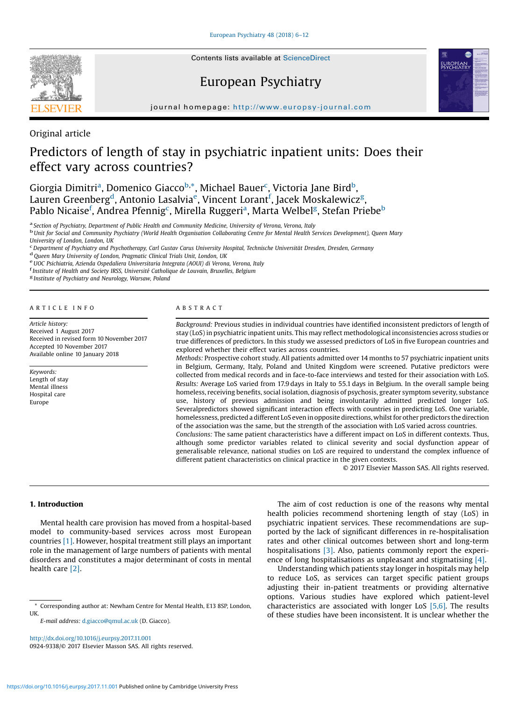**SEVIER** 

# European Psychiatry



journal homepage: <http://www.europsy-journal.com>

Original article

# Predictors of length of stay in psychiatric inpatient units: Does their effect vary across countries?

Giorgia Dimitri<sup>a</sup>, Domenico Giacco<sup>b,\*</sup>, Michael Bauer<sup>c</sup>, Victoria Jane Bird<sup>b</sup>, Lauren Greenberg<sup>d</sup>, Antonio Lasalvia<sup>e</sup>, Vincent Lorant<sup>f</sup>, Jacek Moskalewicz<sup>g</sup>, Pablo Nicaise<sup>f</sup>, Andrea Pfennig<sup>c</sup>, Mirella Ruggeri<sup>a</sup>, Marta Welbel<sup>g</sup>, Stefan Priebe<sup>b</sup>

<sup>a</sup> Section of Psychiatry, Department of Public Health and Community Medicine, University of Verona, Verona, Italy<br><sup>b</sup> Unit for Social and Community Psychiatry (World Health Organisation Collaborating Centre for Mental Hea

University of London, London, UK<br>Copartment of Psychiatry and Psychotherapy, Carl Gustav Carus University Hospital, Technische Universität Dresden, Dresden, Germany

<sup>d</sup> Queen Mary University of London, Pragmatic Clinical Trials Unit, London, UK<br><sup>e</sup> UOC Psichiatria, Azienda Ospedaliera Universitaria Integrata (AOUI) di Verona, Verona, Italy

<sup>f</sup> Institute of Health and Society IRSS, Université Catholique de Louvain, Bruxelles, Belgium<br><sup>g</sup> Institute of Psychiatry and Neurology, Warsaw, Poland

#### A R T I C L E I N F O

Article history: Received 1 August 2017 Received in revised form 10 November 2017 Accepted 10 November 2017 Available online 10 January 2018

Keywords: Length of stay Mental illness Hospital care Europe

## A B S T R A C T

Background: Previous studies in individual countries have identified inconsistent predictors of length of stay (LoS) in psychiatric inpatient units. This may reflect methodological inconsistencies across studies or true differences of predictors. In this study we assessed predictors of LoS in five European countries and explored whether their effect varies across countries.

Methods: Prospective cohort study. All patients admitted over 14 months to 57 psychiatric inpatient units in Belgium, Germany, Italy, Poland and United Kingdom were screened. Putative predictors were collected from medical records and in face-to-face interviews and tested for their association with LoS. Results: Average LoS varied from 17.9 days in Italy to 55.1 days in Belgium. In the overall sample being homeless, receiving benefits, social isolation, diagnosis of psychosis, greater symptom severity, substance use, history of previous admission and being involuntarily admitted predicted longer LoS. Severalpredictors showed significant interaction effects with countries in predicting LoS. One variable, homelessness, predicted a different LoS even in opposite directions, whilst for other predictors the direction of the association was the same, but the strength of the association with LoS varied across countries.

Conclusions: The same patient characteristics have a different impact on LoS in different contexts. Thus, although some predictor variables related to clinical severity and social dysfunction appear of generalisable relevance, national studies on LoS are required to understand the complex influence of different patient characteristics on clinical practice in the given contexts.

© 2017 Elsevier Masson SAS. All rights reserved.

# 1. Introduction

Mental health care provision has moved from a hospital-based model to community-based services across most European countries [\[1\]](#page-5-0). However, hospital treatment still plays an important role in the management of large numbers of patients with mental disorders and constitutes a major determinant of costs in mental health care [\[2\]](#page-5-0).

<http://dx.doi.org/10.1016/j.eurpsy.2017.11.001> 0924-9338/© 2017 Elsevier Masson SAS. All rights reserved.

The aim of cost reduction is one of the reasons why mental health policies recommend shortening length of stay (LoS) in psychiatric inpatient services. These recommendations are supported by the lack of significant differences in re-hospitalisation rates and other clinical outcomes between short and long-term hospitalisations [\[3\]](#page-5-0). Also, patients commonly report the experience of long hospitalisations as unpleasant and stigmatising [\[4\]](#page-5-0).

Understanding which patients stay longer in hospitals may help to reduce LoS, as services can target specific patient groups adjusting their in-patient treatments or providing alternative options. Various studies have explored which patient-level characteristics are associated with longer LoS [\[5,6\].](#page-5-0) The results of these studies have been inconsistent. It is unclear whether the

<sup>\*</sup> Corresponding author at: Newham Centre for Mental Health, E13 8SP, London, UK.

E-mail address: [d.giacco@qmul.ac.uk](mailto:d.giacco@qmul.ac.uk) (D. Giacco).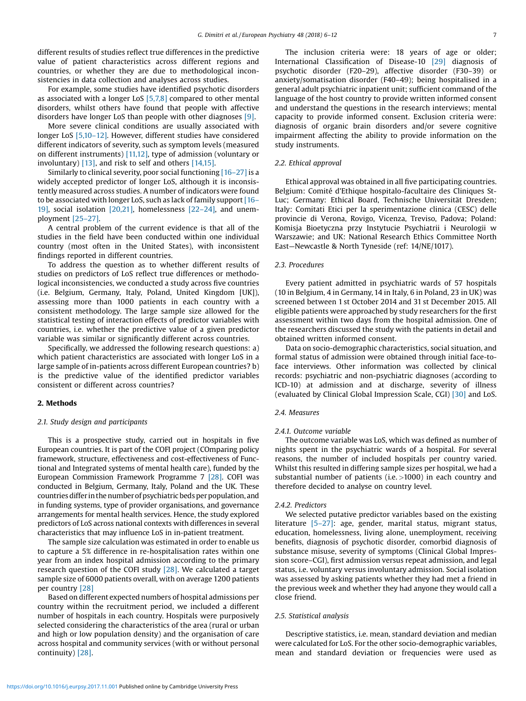different results of studies reflect true differences in the predictive value of patient characteristics across different regions and countries, or whether they are due to methodological inconsistencies in data collection and analyses across studies.

For example, some studies have identified psychotic disorders as associated with a longer LoS [\[5,7,8\]](#page-5-0) compared to other mental disorders, whilst others have found that people with affective disorders have longer LoS than people with other diagnoses [\[9\].](#page-5-0)

More severe clinical conditions are usually associated with longer LoS [\[5,10](#page-5-0)–12]. However, different studies have considered different indicators of severity, such as symptom levels (measured on different instruments) [\[11,12\]](#page-5-0), type of admission (voluntary or involuntary) [\[13\],](#page-5-0) and risk to self and others [\[14,15\].](#page-5-0)

Similarly to clinical severity, poor social functioning [16–[27\]](#page-5-0) is a widely accepted predictor of longer LoS, although it is inconsistently measured across studies. A number of indicators were found to be associated with longer LoS, such as lack of family support [\[16](#page-5-0)– [19\],](#page-5-0) social isolation [\[20,21\],](#page-6-0) homelessness [\[22](#page-6-0)–24], and unemployment [\[25](#page-6-0)–27].

A central problem of the current evidence is that all of the studies in the field have been conducted within one individual country (most often in the United States), with inconsistent findings reported in different countries.

To address the question as to whether different results of studies on predictors of LoS reflect true differences or methodological inconsistencies, we conducted a study across five countries (i.e. Belgium, Germany, Italy, Poland, United Kingdom [UK]), assessing more than 1000 patients in each country with a consistent methodology. The large sample size allowed for the statistical testing of interaction effects of predictor variables with countries, i.e. whether the predictive value of a given predictor variable was similar or significantly different across countries.

Specifically, we addressed the following research questions: a) which patient characteristics are associated with longer LoS in a large sample of in-patients across different European countries? b) is the predictive value of the identified predictor variables consistent or different across countries?

# 2. Methods

## 2.1. Study design and participants

This is a prospective study, carried out in hospitals in five European countries. It is part of the COFI project (COmparing policy framework, structure, effectiveness and cost-effectiveness of Functional and Integrated systems of mental health care), funded by the European Commission Framework Programme 7 [\[28\]](#page-6-0). COFI was conducted in Belgium, Germany, Italy, Poland and the UK. These countries differ in the number of psychiatric beds per population, and in funding systems, type of provider organisations, and governance arrangements for mental health services. Hence, the study explored predictors of LoS across national contexts with differences in several characteristics that may influence LoS in in-patient treatment.

The sample size calculation was estimated in order to enable us to capture a 5% difference in re-hospitalisation rates within one year from an index hospital admission according to the primary research question of the COFI study [\[28\]](#page-6-0). We calculated a target sample size of 6000 patients overall, with on average 1200 patients per country [\[28\]](#page-6-0)

Based on different expected numbers of hospital admissions per country within the recruitment period, we included a different number of hospitals in each country. Hospitals were purposively selected considering the characteristics of the area (rural or urban and high or low population density) and the organisation of care across hospital and community services (with or without personal continuity) [\[28\]](#page-6-0).

The inclusion criteria were: 18 years of age or older; International Classification of Disease-10 [\[29\]](#page-6-0) diagnosis of psychotic disorder (F20–29), affective disorder (F30–39) or anxiety/somatisation disorder (F40–49); being hospitalised in a general adult psychiatric inpatient unit; sufficient command of the language of the host country to provide written informed consent and understand the questions in the research interviews; mental capacity to provide informed consent. Exclusion criteria were: diagnosis of organic brain disorders and/or severe cognitive impairment affecting the ability to provide information on the study instruments.

### 2.2. Ethical approval

Ethical approval was obtained in all five participating countries. Belgium: Comité d'Ethique hospitalo-facultaire des Cliniques St-Luc; Germany: Ethical Board, Technische Universität Dresden; Italy: Comitati Etici per la sperimentazione clinica (CESC) delle provincie di Verona, Rovigo, Vicenza, Treviso, Padova; Poland: Komisja Bioetyczna przy Instytucie Psychiatrii i Neurologii w Warszawie; and UK: National Research Ethics Committee North East—Newcastle & North Tyneside (ref: 14/NE/1017).

#### 2.3. Procedures

Every patient admitted in psychiatric wards of 57 hospitals (10 in Belgium, 4 in Germany, 14 in Italy, 6 in Poland, 23 in UK) was screened between 1 st October 2014 and 31 st December 2015. All eligible patients were approached by study researchers for the first assessment within two days from the hospital admission. One of the researchers discussed the study with the patients in detail and obtained written informed consent.

Data on socio-demographic characteristics, social situation, and formal status of admission were obtained through initial face-toface interviews. Other information was collected by clinical records: psychiatric and non-psychiatric diagnoses (according to ICD-10) at admission and at discharge, severity of illness (evaluated by Clinical Global Impression Scale, CGI) [\[30\]](#page-6-0) and LoS.

#### 2.4. Measures

## 2.4.1. Outcome variable

The outcome variable was LoS, which was defined as number of nights spent in the psychiatric wards of a hospital. For several reasons, the number of included hospitals per country varied. Whilst this resulted in differing sample sizes per hospital, we had a substantial number of patients (i.e. >1000) in each country and therefore decided to analyse on country level.

#### 2.4.2. Predictors

We selected putative predictor variables based on the existing literature [5–[27\]](#page-5-0): age, gender, marital status, migrant status, education, homelessness, living alone, unemployment, receiving benefits, diagnosis of psychotic disorder, comorbid diagnosis of substance misuse, severity of symptoms (Clinical Global Impression score–CGI), first admission versus repeat admission, and legal status, i.e. voluntary versus involuntary admission. Social isolation was assessed by asking patients whether they had met a friend in the previous week and whether they had anyone they would call a close friend.

### 2.5. Statistical analysis

Descriptive statistics, i.e. mean, standard deviation and median were calculated for LoS. For the other socio-demographic variables, mean and standard deviation or frequencies were used as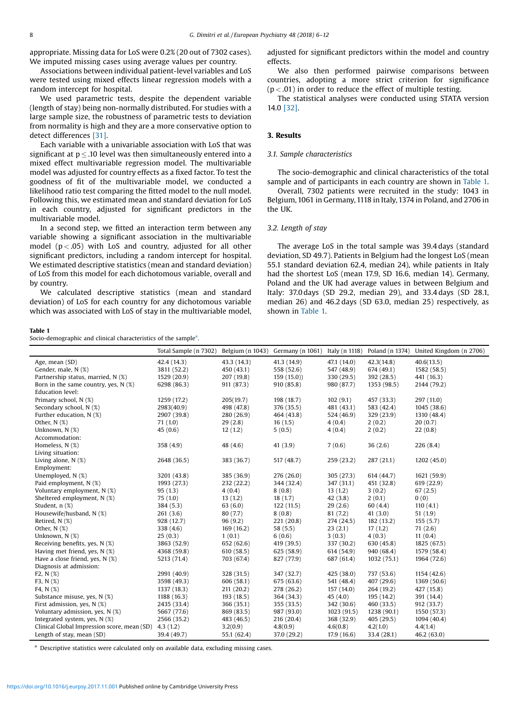appropriate. Missing data for LoS were 0.2% (20 out of 7302 cases). We imputed missing cases using average values per country.

Associations between individual patient-level variables and LoS were tested using mixed effects linear regression models with a random intercept for hospital.

We used parametric tests, despite the dependent variable (length of stay) being non-normally distributed. For studies with a large sample size, the robustness of parametric tests to deviation from normality is high and they are a more conservative option to detect differences [\[31\]](#page-6-0).

Each variable with a univariable association with LoS that was significant at  $p < 10$  level was then simultaneously entered into a mixed effect multivariable regression model. The multivariable model was adjusted for country effects as a fixed factor. To test the goodness of fit of the multivariable model, we conducted a likelihood ratio test comparing the fitted model to the null model. Following this, we estimated mean and standard deviation for LoS in each country, adjusted for significant predictors in the multivariable model.

In a second step, we fitted an interaction term between any variable showing a significant association in the multivariable model ( $p < .05$ ) with LoS and country, adjusted for all other significant predictors, including a random intercept for hospital. We estimated descriptive statistics (mean and standard deviation) of LoS from this model for each dichotomous variable, overall and by country.

We calculated descriptive statistics (mean and standard deviation) of LoS for each country for any dichotomous variable which was associated with LoS of stay in the multivariable model,

# adjusted for significant predictors within the model and country effects.

We also then performed pairwise comparisons between countries, adopting a more strict criterion for significance  $(p < .01)$  in order to reduce the effect of multiple testing.

The statistical analyses were conducted using STATA version 14.0 [\[32\]](#page-6-0).

# 3. Results

# 3.1. Sample characteristics

The socio-demographic and clinical characteristics of the total sample and of participants in each country are shown in Table 1.

Overall, 7302 patients were recruited in the study: 1043 in Belgium,1061 in Germany,1118 in Italy,1374 in Poland, and 2706 in the UK.

# 3.2. Length of stay

The average LoS in the total sample was 39.4 days (standard deviation, SD 49.7). Patients in Belgium had the longest LoS (mean 55.1 standard deviation 62.4, median 24), while patients in Italy had the shortest LoS (mean 17.9, SD 16.6, median 14). Germany, Poland and the UK had average values in between Belgium and Italy: 37.0 days (SD 29.2, median 29), and 33.4 days (SD 28.1, median 26) and 46.2 days (SD 63.0, median 25) respectively, as shown in Table 1.

#### Table 1

Socio-demographic and clinical characteristics of the sample<sup>a</sup>.

|                                             | Total Sample (n 7302) | Belgium (n 1043) | Germany (n 1061) | Italy (n 1118) | Poland (n 1374) | United Kingdom (n 2706) |
|---------------------------------------------|-----------------------|------------------|------------------|----------------|-----------------|-------------------------|
| Age, mean (SD)                              | 42.4 (14.3)           | 43.3 (14.3)      | 41.3(14.9)       | 47.1 (14.0)    | 42.3(14.8)      | 40.6(13.5)              |
| Gender, male, N (%)                         | 3811 (52.2)           | 450 (43.1)       | 558 (52.6)       | 547 (48.9)     | 674 (49.1)      | 1582 (58.5)             |
| Partnership status, married, N (%)          | 1529 (20.9)           | 207 (19.8)       | 159(15.0)        | 330 (29.5)     | 392 (28.5)      | 441 (16.3)              |
| Born in the same country, yes, $N$ (%)      | 6298 (86.3)           | 911 (87.3)       | 910 (85.8)       | 980 (87.7)     | 1353 (98.5)     | 2144 (79.2)             |
| Education level:                            |                       |                  |                  |                |                 |                         |
| Primary school, N (%)                       | 1259 (17.2)           | 205(19.7)        | 198 (18.7)       | 102(9.1)       | 457 (33.3)      | 297 (11.0)              |
| Secondary school, N (%)                     | 2983(40.9)            | 498 (47.8)       | 376 (35.5)       | 481 (43.1)     | 583 (42.4)      | 1045 (38.6)             |
| Further education, N (%)                    | 2907 (39.8)           | 280 (26.9)       | 464 (43.8)       | 524 (46.9)     | 329 (23.9)      | 1310 (48.4)             |
| Other, $N$ $(\%)$                           | 71(1.0)               | 29(2.8)          | 16(1.5)          | 4(0.4)         | 2(0.2)          | 20(0.7)                 |
| Unknown, N (%)                              | 45(0.6)               | 12(1.2)          | 5(0.5)           | 4(0.4)         | 2(0.2)          | 22(0.8)                 |
| Accommodation:                              |                       |                  |                  |                |                 |                         |
| Homeless, N (%)                             | 358 (4.9)             | 48 (4.6)         | 41(3.9)          | 7(0.6)         | 36(2.6)         | 226 (8.4)               |
| Living situation:                           |                       |                  |                  |                |                 |                         |
| Living alone, $N$ $(\%)$                    | 2648 (36.5)           | 383 (36.7)       | 517 (48.7)       | 259(23.2)      | 287(21.1)       | 1202 (45.0)             |
| Employment:                                 |                       |                  |                  |                |                 |                         |
| Unemployed, N (%)                           | 3201 (43.8)           | 385 (36.9)       | 276 (26.0)       | 305 (27.3)     | 614 (44.7)      | 1621 (59.9)             |
| Paid employment, N (%)                      | 1993 (27.3)           | 232 (22.2)       | 344 (32.4)       | 347 (31.1)     | 451 (32.8)      | 619 (22.9)              |
| Voluntary employment, N (%)                 | 95(1.3)               | 4(0.4)           | 8(0.8)           | 13(1.2)        | 3(0.2)          | 67(2.5)                 |
| Sheltered employment, N (%)                 | 75(1.0)               | 13(1,2)          | 18(1.7)          | 42(3.8)        | 2(0.1)          | 0(0)                    |
| Student, n (%)                              | 384 (5.3)             | 63(6.0)          | 122(11.5)        | 29(2.6)        | 60(4.4)         | 110(4.1)                |
| Housewife/husband, N (%)                    | 261(3.6)              | 80(7.7)          | 8(0.8)           | 81(7.2)        | 41(3.0)         | 51(1.9)                 |
| Retired, N (%)                              | 928 (12.7)            | 96(9.2)          | 221 (20.8)       | 274 (24.5)     | 182 (13.2)      | 155(5.7)                |
| Other, $N$ $(\%)$                           | 338(4.6)              | 169 (16.2)       | 58 (5.5)         | 23(2.1)        | 17(1.2)         | 71(2.6)                 |
| Unknown, N (%)                              | 25(0.3)               | 1(0.1)           | 6(0.6)           | 3(0.3)         | 4(0.3)          | 11(0.4)                 |
| Receiving benefits, yes, N (%)              | 3863 (52.9)           | 652 (62.6)       | 419 (39.5)       | 337 (30.2)     | 630 (45.8)      | 1825 (67.5)             |
| Having met friend, yes, N (%)               | 4368 (59.8)           | 610 (58.5)       | 625 (58.9)       | 614 (54.9)     | 940 (68.4)      | 1579 (58.4)             |
| Have a close friend, yes, N (%)             | 5213 (71.4)           | 703 (67.4)       | 827 (77.9)       | 687 (61.4)     | 1032 (75.1)     | 1964 (72.6)             |
| Diagnosis at admission:                     |                       |                  |                  |                |                 |                         |
| $F2, N({\%})$                               | 2991 (40.9)           | 328 (31.5)       | 347 (32.7)       | 425 (38.0)     | 737 (53.6)      | 1154 (42.6)             |
| F3, N $(%)$                                 | 3598 (49.3)           | 606 (58.1)       | 675 (63.6)       | 541 (48.4)     | 407 (29.6)      | 1369 (50.6)             |
| $F4, N({\%})$                               | 1337 (18.3)           | 211 (20.2)       | 278 (26.2)       | 157(14.0)      | 264 (19.2)      | 427 (15.8)              |
| Substance misuse, yes, N (%)                | 1188 (16.3)           | 193 (18.5)       | 364 (34.3)       | 45(4.0)        | 195 (14.2)      | 391 (14.4)              |
| First admission, yes, N (%)                 | 2435 (33.4)           | 366 (35.1)       | 355 (33.5)       | 342 (30.6)     | 460 (33.5)      | 912 (33.7)              |
| Voluntary admission, yes, N (%)             | 5667 (77.6)           | 869 (83.5)       | 987 (93.0)       | 1023 (91.5)    | 1238 (90.1)     | 1550 (57.3)             |
| Integrated system, yes, N (%)               | 2566 (35.2)           | 483 (46.5)       | 216 (20.4)       | 368 (32.9)     | 405(29.5)       | 1094 (40.4)             |
| Clinical Global Impression score, mean (SD) | 4.3(1.2)              | 3.2(0.9)         | 4.8(0.9)         | 4.6(0.8)       | 4.2(1.0)        | 4.4(1.4)                |
| Length of stay, mean (SD)                   | 39.4 (49.7)           | 55.1 (62.4)      | 37.0 (29.2)      | 17.9 (16.6)    | 33.4 (28.1)     | 46.2(63.0)              |

<sup>a</sup> Descriptive statistics were calculated only on available data, excluding missing cases.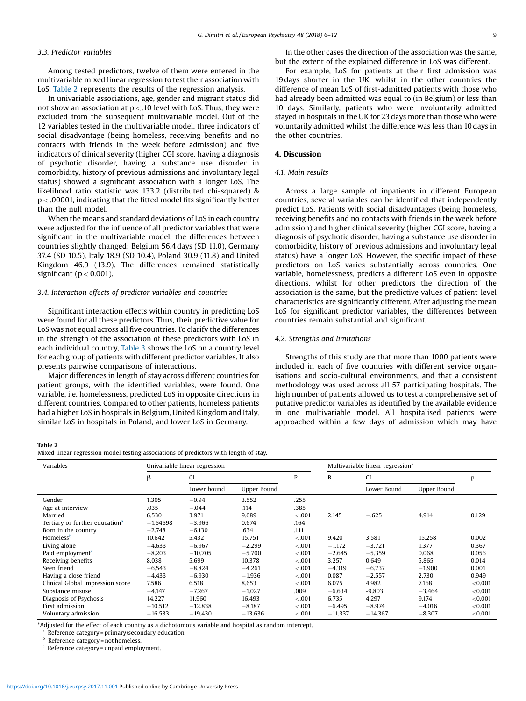# 3.3. Predictor variables

Among tested predictors, twelve of them were entered in the multivariable mixed linear regression to test their association with LoS. Table 2 represents the results of the regression analysis.

In univariable associations, age, gender and migrant status did not show an association at  $p < 0.10$  level with LoS. Thus, they were excluded from the subsequent multivariable model. Out of the 12 variables tested in the multivariable model, three indicators of social disadvantage (being homeless, receiving benefits and no contacts with friends in the week before admission) and five indicators of clinical severity (higher CGI score, having a diagnosis of psychotic disorder, having a substance use disorder in comorbidity, history of previous admissions and involuntary legal status) showed a significant association with a longer LoS. The likelihood ratio statistic was 133.2 (distributed chi-squared) &  $p < .00001$ , indicating that the fitted model fits significantly better than the null model.

When the means and standard deviations of LoS in each country were adjusted for the influence of all predictor variables that were significant in the multivariable model, the differences between countries slightly changed: Belgium 56.4 days (SD 11.0), Germany 37.4 (SD 10.5), Italy 18.9 (SD 10.4), Poland 30.9 (11.8) and United Kingdom 46.9 (13.9). The differences remained statistically significant ( $p < 0.001$ ).

# 3.4. Interaction effects of predictor variables and countries

Significant interaction effects within country in predicting LoS were found for all these predictors. Thus, their predictive value for LoS was not equal across all five countries. To clarify the differences in the strength of the association of these predictors with LoS in each individual country, [Table](#page-4-0) 3 shows the LoS on a country level for each group of patients with different predictor variables. It also presents pairwise comparisons of interactions.

Major differences in length of stay across different countries for patient groups, with the identified variables, were found. One variable, i.e. homelessness, predicted LoS in opposite directions in different countries. Compared to other patients, homeless patients had a higher LoS in hospitals in Belgium, United Kingdom and Italy, similar LoS in hospitals in Poland, and lower LoS in Germany.

In the other cases the direction of the association was the same, but the extent of the explained difference in LoS was different.

For example, LoS for patients at their first admission was 19 days shorter in the UK, whilst in the other countries the difference of mean LoS of first-admitted patients with those who had already been admitted was equal to (in Belgium) or less than 10 days. Similarly, patients who were involuntarily admitted stayed in hospitals in the UK for 23 days more than those who were voluntarily admitted whilst the difference was less than 10 days in the other countries.

# 4. Discussion

# 4.1. Main results

Across a large sample of inpatients in different European countries, several variables can be identified that independently predict LoS. Patients with social disadvantages (being homeless, receiving benefits and no contacts with friends in the week before admission) and higher clinical severity (higher CGI score, having a diagnosis of psychotic disorder, having a substance use disorder in comorbidity, history of previous admissions and involuntary legal status) have a longer LoS. However, the specific impact of these predictors on LoS varies substantially across countries. One variable, homelessness, predicts a different LoS even in opposite directions, whilst for other predictors the direction of the association is the same, but the predictive values of patient-level characteristics are significantly different. After adjusting the mean LoS for significant predictor variables, the differences between countries remain substantial and significant.

## 4.2. Strengths and limitations

Strengths of this study are that more than 1000 patients were included in each of five countries with different service organisations and socio-cultural environments, and that a consistent methodology was used across all 57 participating hospitals. The high number of patients allowed us to test a comprehensive set of putative predictor variables as identified by the available evidence in one multivariable model. All hospitalised patients were approached within a few days of admission which may have

#### Table 2

Mixed linear regression model testing associations of predictors with length of stay.

| Variables                                  |            | Univariable linear regression |             |         |           | Multivariable linear regression* |             |         |
|--------------------------------------------|------------|-------------------------------|-------------|---------|-----------|----------------------------------|-------------|---------|
|                                            | β          | CI                            |             | P       | B         | <b>CI</b>                        |             | р       |
|                                            |            | Lower bound                   | Upper Bound |         |           | Lower Bound                      | Upper Bound |         |
| Gender                                     | 1.305      | $-0.94$                       | 3.552       | .255    |           |                                  |             |         |
| Age at interview                           | .035       | $-.044$                       | .114        | .385    |           |                                  |             |         |
| Married                                    | 6.530      | 3.971                         | 9.089       | < .001  | 2.145     | $-.625$                          | 4.914       | 0.129   |
| Tertiary or further education <sup>a</sup> | $-1.64698$ | $-3.966$                      | 0.674       | .164    |           |                                  |             |         |
| Born in the country                        | $-2.748$   | $-6.130$                      | .634        | .111    |           |                                  |             |         |
| Homeless <sup>b</sup>                      | 10.642     | 5.432                         | 15.751      | < 0.001 | 9.420     | 3.581                            | 15.258      | 0.002   |
| Living alone                               | $-4.633$   | $-6.967$                      | $-2.299$    | < 0.001 | $-1.172$  | $-3.721$                         | 1.377       | 0.367   |
| Paid employment <sup>c</sup>               | $-8.203$   | $-10.705$                     | $-5.700$    | < 0.001 | $-2.645$  | $-5.359$                         | 0.068       | 0.056   |
| Receiving benefits                         | 8.038      | 5.699                         | 10.378      | < 0.001 | 3.257     | 0.649                            | 5.865       | 0.014   |
| Seen friend                                | $-6.543$   | $-8.824$                      | $-4.261$    | < 0.001 | $-4.319$  | $-6.737$                         | $-1.900$    | 0.001   |
| Having a close friend                      | $-4.433$   | $-6.930$                      | $-1.936$    | < 0.001 | 0.087     | $-2.557$                         | 2.730       | 0.949   |
| Clinical Global Impression score           | 7.586      | 6.518                         | 8.653       | < 0.001 | 6.075     | 4.982                            | 7.168       | < 0.001 |
| Substance misuse                           | $-4.147$   | $-7.267$                      | $-1.027$    | .009    | $-6.634$  | $-9.803$                         | $-3.464$    | < 0.001 |
| Diagnosis of Psychosis                     | 14.227     | 11.960                        | 16.493      | < 0.001 | 6.735     | 4.297                            | 9.174       | < 0.001 |
| First admission                            | $-10.512$  | $-12.838$                     | $-8.187$    | < 0.001 | $-6.495$  | $-8.974$                         | $-4.016$    | < 0.001 |
| Voluntary admission                        | $-16.533$  | $-19.430$                     | $-13.636$   | < 0.001 | $-11.337$ | $-14.367$                        | $-8.307$    | < 0.001 |

\*Adjusted for the effect of each country as a dichotomous variable and hospital as random intercept.

Reference category = primary/secondary education.

 $b$  Reference category = not homeless.

Reference category = unpaid employment.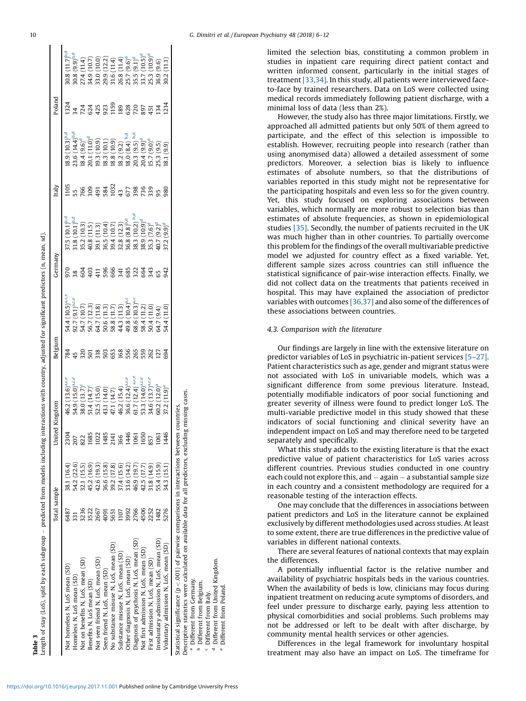<span id="page-4-0"></span>

|                          | ֚֘֝<br>į        |
|--------------------------|-----------------|
|                          | ĺ               |
|                          | i<br>l          |
|                          |                 |
|                          |                 |
|                          | ;               |
|                          | ì               |
|                          | İ<br>ׇ֘֒<br>ׇ֚֘ |
|                          | ׇ֘֝֕֡<br>i<br>l |
|                          | I<br>į          |
| ï<br>$\overline{a}$<br>I | engt<br>i<br>Si |

|                                                                                                       | Total sample |             |                                   | United Kingdom                | Belgium                     |                                           | Germany         |                          | Italy                 |                          | Poland        |                                        |
|-------------------------------------------------------------------------------------------------------|--------------|-------------|-----------------------------------|-------------------------------|-----------------------------|-------------------------------------------|-----------------|--------------------------|-----------------------|--------------------------|---------------|----------------------------------------|
| Not homeless N, LoS mean (SD)                                                                         | 6487         | 38.1 (16.4) | 2304                              | $46.2(13.6)^{a.c.e}$          | 784                         | 54.4 (10.5) <sup>a,c,e</sup>              | 0 <sup>c</sup>  | $37.5(10.1)^{b.c}$       | $\frac{105}{2}$       | $18.9(10.3)^{b.d}$       | 1324          | $30.8(11.7)^{b.d}$                     |
| Homeless N, LoS mean (SD)                                                                             |              | 54.2 (22.6) |                                   | $54.9(15.0)^{a.c.c}$          | $\ddot{1}$                  | $-92.7(9.1)^{a.c.e}$                      | $\frac{8}{2}$   | $(1.8)(10.1)^{b}$        | $\overline{5}$        | $23.6(14.4)^{b.6}$       | $\frac{3}{4}$ | $(9.9)^{b}$                            |
| Not on benefits N, LoS, mean (SD)                                                                     | 3236         | 32.1 (15.5) |                                   | (13.7)                        | 320                         | 54.7'                                     | 604             | 5.2(                     |                       | $18.4(9.6)$ <sup>d</sup> |               | .74(11.4)                              |
| Benefits N, LoS mean (SD)                                                                             | 3522         | 45.2 (16.9) |                                   | 51.4(14.7)                    |                             | 123<br>56.7                               | 403             | 40.8                     |                       | (1.0)                    |               |                                        |
| Not seen friend N, LoS, mean (SD)                                                                     | 2667         | 42.6 (19.3) |                                   | 52.5 (15.0)                   |                             | (3.1)                                     | $\frac{11}{11}$ | $\frac{13}{1}$<br>39.1   |                       | (9.3)(10.9)              |               | 34.9 (10.7)<br>33.0 (10.0)             |
| Seen friend N, LoS, mean (SD)                                                                         | 409          | 36.6 (15.8) | 207<br>822<br>1685<br>1485<br>141 | 43.1 (14.0)                   |                             | $\frac{13}{2}$<br>64.7 (<br>50.6 (        |                 | 36.5 (10.4)              |                       | 18.3(10.1)               |               | (12.2)<br>0.65                         |
| No substance misuse N, LoS, mean (SD)                                                                 | 5651         | 39.2 (17.8) |                                   | 47.1 (14.7)                   |                             | 117<br>58.8(                              | 666             | 39.4 (10.7)              |                       | (8.8)(10.9)              |               | 31.6 (11.4)                            |
| Substance misuse N, LoS, mean (SD)                                                                    | 107          | 37.4 (15.6) | 366                               | 46.2 (15.4)                   |                             |                                           |                 | 32.8 (12.3               |                       | 18.2(9.2)                |               | 26.8 (11.4)<br>25.7 (9.6) <sup>d</sup> |
| Other diagnosis N, LoS, mean (SD)                                                                     | 3992         | 33.6 (14.2) | 1446<br>1051<br>1650              | $36.6(12.4)^{a.c.e}$          | 5 3 3 3 3 4 5 5 6 7 6 7 6 7 | 44.3 (11.3)<br>49.8 (10.4) <sup>a,c</sup> | 341<br>882      | $36.8(8.8)^{b,d}$        | <b>ESSE ESSE ESSE</b> | $18.0(8.4)$ b.d          | 7343328888557 |                                        |
| Diagnosis of psychosis N, LoS, mean (SD)                                                              | 2766         | 46.9 (19.7) |                                   | $61.7(12.4)$ <sup>a.c.e</sup> |                             | 58.6(10.3) <sup>a</sup>                   |                 | $8.3(10.2)$ b.d          |                       | $20.3(9.5)$ b.d          |               | $5.5(9.1)^d$                           |
| Not first admission N, LoS, mean (SD)                                                                 | 4506         | 42.5 (17.7) |                                   | i3.3 (14.0)a.c.e              |                             | 8.4 (11.2)                                | 664             | (10.9)                   |                       | $20.4(9.9)^6$            |               | $33.7(10.5)^d$<br>$25.3(10.9)^d$       |
| First admission N, LoS, mean (SD)                                                                     | 2252         | 31.8 (14.9) | 857                               | 84.6 (13.7)a.c.e              |                             | 0.4(11.0)                                 |                 | $35.3(7.6)$ <sup>d</sup> | នី និ                 | $(5.7(9.0)$ <sup>d</sup> |               |                                        |
| Involuntary admission N, LoS, mean (SD)                                                               | 1482         | 55.4 (15.9) | 1061                              | $50.2(12.0)^a$                |                             | 54.7 (9.4)                                | 343<br>55       | $40.7(9.2)$ <sup>c</sup> |                       | 25.3 (9.5)               |               | 36.9 (9.6)                             |
| Voluntary admission N, LoS, mean (SD)                                                                 | 5276         | 34.3 (15.1) | 1446                              | $37.2(11.9)^a$                | 594                         |                                           |                 |                          | <b>SC</b>             |                          | 1214          |                                        |
| Statistical significance $(p < 001)$ of pairwise comparisons in interactions between countries        |              |             |                                   |                               |                             |                                           |                 |                          |                       |                          |               |                                        |
| Descriptive statistics were calculated on available data for all predictors, excluding missing cases. |              |             |                                   |                               |                             |                                           |                 |                          |                       |                          |               |                                        |
| a Different from Germany.                                                                             |              |             |                                   |                               |                             |                                           |                 |                          |                       |                          |               |                                        |
| <sup>b</sup> Different from Belgium                                                                   |              |             |                                   |                               |                             |                                           |                 |                          |                       |                          |               |                                        |
| <sup>c</sup> Different from Italy.                                                                    |              |             |                                   |                               |                             |                                           |                 |                          |                       |                          |               |                                        |
| $1 - 1$                                                                                               |              |             |                                   |                               |                             |                                           |                 |                          |                       |                          |               |                                        |

limited the selection bias, constituting a common problem in studies in inpatient care requiring direct patient contact and written informed consent, particularly in the initial stages of treatment [\[33,34\].](#page-6-0) In this study, all patients were interviewed faceto-face by trained researchers. Data on LoS were collected using medical records immediately following patient discharge, with a minimal loss of data (less than 2%).

However, the study also has three major limitations. Firstly, we approached all admitted patients but only 50% of them agreed to participate, and the effect of this selection is impossible to establish. However, recruiting people into research (rather than using anonymised data) allowed a detailed assessment of some predictors. Moreover, a selection bias is likely to influence estimates of absolute numbers, so that the distributions of variables reported in this study might not be representative for the participating hospitals and even less so for the given country. Yet, this study focused on exploring associations between variables, which normally are more robust to selection bias than estimates of absolute frequencies, as shown in epidemiological studies [\[35\].](#page-6-0) Secondly, the number of patients recruited in the UK was much higher than in other countries. To partially overcome this problem for the findings of the overall multivariable predictive model we adjusted for country effect as a fixed variable. Yet, different sample sizes across countries can still influence the statistical significance of pair-wise interaction effects. Finally, we did not collect data on the treatments that patients received in hospital. This may have explained the association of predictor variables with outcomes [\[36,37\]](#page-6-0) and also some of the differences of these associations between countries.

## 4.3. Comparison with the literature

Our findings are largely in line with the extensive literature on predictor variables of LoS in psychiatric in-patient services [5–[27\].](#page-5-0) Patient characteristics such as age, gender and migrant status were not associated with LoS in univariable models, which was a significant difference from some previous literature. Instead, potentially modifiable indicators of poor social functioning and greater severity of illness were found to predict longer LoS. The multi-variable predictive model in this study showed that these indicators of social functioning and clinical severity have an independent impact on LoS and may therefore need to be targeted separately and specifically.

What this study adds to the existing literature is that the exact predictive value of patient characteristics for LoS varies across different countries. Previous studies conducted in one country each could not explore this, and  $-$  again  $-$  a substantial sample size in each country and a consistent methodology are required for a reasonable testing of the interaction effects.

One may conclude that the differences in associations between patient predictors and LoS in the literature cannot be explained exclusively by different methodologies used across studies. Atleast to some extent, there are true differences in the predictive value of variables in different national contexts.

There are several features of national contexts that may explain the differences.

A potentially influential factor is the relative number and availability of psychiatric hospitals beds in the various countries. When the availability of beds is low, clinicians may focus during inpatient treatment on reducing acute symptoms of disorders, and feel under pressure to discharge early, paying less attention to physical comorbidities and social problems. Such problems may not be addressed or left to be dealt with after discharge, by community mental health services or other agencies.

Differences in the legal framework for involuntary hospital treatment may also have an impact on LoS. The timeframe for

<sup>a</sup> Different from United Kingdom.<br><sup>e</sup> Different from Poland.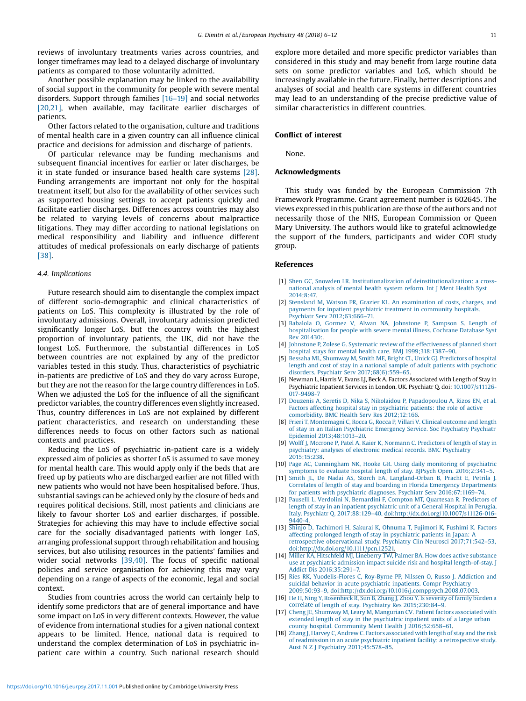<span id="page-5-0"></span>reviews of involuntary treatments varies across countries, and longer timeframes may lead to a delayed discharge of involuntary patients as compared to those voluntarily admitted.

Another possible explanation may be linked to the availability of social support in the community for people with severe mental disorders. Support through families [16–19] and social networks [\[20,21\]](#page-6-0), when available, may facilitate earlier discharges of patients.

Other factors related to the organisation, culture and traditions of mental health care in a given country can all influence clinical practice and decisions for admission and discharge of patients.

Of particular relevance may be funding mechanisms and subsequent financial incentives for earlier or later discharges, be it in state funded or insurance based health care systems [\[28\]](#page-6-0). Funding arrangements are important not only for the hospital treatment itself, but also for the availability of other services such as supported housing settings to accept patients quickly and facilitate earlier discharges. Differences across countries may also be related to varying levels of concerns about malpractice litigations. They may differ according to national legislations on medical responsibility and liability and influence different attitudes of medical professionals on early discharge of patients [\[38\]](#page-6-0).

### 4.4. Implications

Future research should aim to disentangle the complex impact of different socio-demographic and clinical characteristics of patients on LoS. This complexity is illustrated by the role of involuntary admissions. Overall, involuntary admission predicted significantly longer LoS, but the country with the highest proportion of involuntary patients, the UK, did not have the longest LoS. Furthermore, the substantial differences in LoS between countries are not explained by any of the predictor variables tested in this study. Thus, characteristics of psychiatric in-patients are predictive of LoS and they do vary across Europe, but they are not the reason for the large country differences in LoS. When we adjusted the LoS for the influence of all the significant predictor variables, the country differences even slightly increased. Thus, country differences in LoS are not explained by different patient characteristics, and research on understanding these differences needs to focus on other factors such as national contexts and practices.

Reducing the LoS of psychiatric in-patient care is a widely expressed aim of policies as shorter LoS is assumed to save money for mental health care. This would apply only if the beds that are freed up by patients who are discharged earlier are not filled with new patients who would not have been hospitalised before. Thus, substantial savings can be achieved only by the closure of beds and requires political decisions. Still, most patients and clinicians are likely to favour shorter LoS and earlier discharges, if possible. Strategies for achieving this may have to include effective social care for the socially disadvantaged patients with longer LoS, arranging professional support through rehabilitation and housing services, but also utilising resources in the patients' families and wider social networks [\[39,40\].](#page-6-0) The focus of specific national policies and service organisation for achieving this may vary depending on a range of aspects of the economic, legal and social context.

Studies from countries across the world can certainly help to identify some predictors that are of general importance and have some impact on LoS in very different contexts. However, the value of evidence from international studies for a given national context appears to be limited. Hence, national data is required to understand the complex determination of LoS in psychiatric inpatient care within a country. Such national research should explore more detailed and more specific predictor variables than considered in this study and may benefit from large routine data sets on some predictor variables and LoS, which should be increasingly available in the future. Finally, better descriptions and analyses of social and health care systems in different countries may lead to an understanding of the precise predictive value of similar characteristics in different countries.

#### Conflict of interest

None.

# Acknowledgments

This study was funded by the European Commission 7th Framework Programme. Grant agreement number is 602645. The views expressed in this publication are those of the authors and not necessarily those of the NHS, European Commission or Queen Mary University. The authors would like to grateful acknowledge the support of the funders, participants and wider COFI study group.

## References

- [1] Shen GC, Snowden LR. Institutionalization of [deinstitutionalization:](http://refhub.elsevier.com/S0924-9338(17)33004-3/sbref0005) a cross[national](http://refhub.elsevier.com/S0924-9338(17)33004-3/sbref0005) analysis of mental health system reform. Int J Ment Health Syst [2014;8:47.](http://refhub.elsevier.com/S0924-9338(17)33004-3/sbref0005)
- [2] Stensland M, Watson PR, Grazier KL. An [examination](http://refhub.elsevier.com/S0924-9338(17)33004-3/sbref0010) of costs, charges, and payments for inpatient psychiatric treatment in [community](http://refhub.elsevier.com/S0924-9338(17)33004-3/sbref0010) hospitals. Psychiatr Serv [2012;63:666](http://refhub.elsevier.com/S0924-9338(17)33004-3/sbref0010)–71.
- [3] Babalola O, Gormez V, Alwan NA, [Johnstone](http://refhub.elsevier.com/S0924-9338(17)33004-3/sbref0015) P, Sampson S. Length of [hospitalisation](http://refhub.elsevier.com/S0924-9338(17)33004-3/sbref0015) for people with severe mental illness. Cochrane Database Syst  $R_{\text{PV}}$  [201430:](http://refhub.elsevier.com/S0924-9338(17)33004-3/sbref0015)
- [4] Johnstone P, Zolese G. Systematic review of the [effectiveness](http://refhub.elsevier.com/S0924-9338(17)33004-3/sbref0020) of planned short hospital stays for mental health care. BMJ [1999;318:1387](http://refhub.elsevier.com/S0924-9338(17)33004-3/sbref0020)–90.
- [5] Bessaha ML, Shumway M, Smith ME, Bright CL, Unick GJ. [Predictors](http://refhub.elsevier.com/S0924-9338(17)33004-3/sbref0025) of hospital length and cost of stay in a national sample of adult patients with [psychotic](http://refhub.elsevier.com/S0924-9338(17)33004-3/sbref0025) disorders. Psychiatr Serv [2017;68\(6\):559](http://refhub.elsevier.com/S0924-9338(17)33004-3/sbref0025)–65.
- [6] Newman L, Harris V, Evans LJ, Beck A. Factors Associated with Length of Stay in Psychiatric Inpatient Services in London, UK. Psychiatr Q. doi: [10.1007/s11126-](http://doi.org/10.1007/s11126-017-9498-7) [017-9498-7](http://doi.org/10.1007/s11126-017-9498-7)
- [7] Douzenis A, Seretis D, Nika S, Nikolaidou P, [Papadopoulou](http://refhub.elsevier.com/S0924-9338(17)33004-3/sbref0035) A, Rizos EN, et al. Factors affecting hospital stay in [psychiatric](http://refhub.elsevier.com/S0924-9338(17)33004-3/sbref0035) patients: the role of active [comorbidity.](http://refhub.elsevier.com/S0924-9338(17)33004-3/sbref0035) BMC Health Serv Res 2012;12:166.
- [8] Frieri T, [Montemagni](http://refhub.elsevier.com/S0924-9338(17)33004-3/sbref0040) C, Rocca G, Rocca P, Villari V. Clinical outcome and length of stay in an Italian Psychiatric [Emergency](http://refhub.elsevier.com/S0924-9338(17)33004-3/sbref0040) Service. Soc Psychiatry Psychiatr Epidemiol [2013;48:1013](http://refhub.elsevier.com/S0924-9338(17)33004-3/sbref0040)–20.
- [9] Wolff J, Mccrone P, Patel A, Kaier K, Normann C. [Predictors](http://refhub.elsevier.com/S0924-9338(17)33004-3/sbref0045) of length of stay in [psychiatry:](http://refhub.elsevier.com/S0924-9338(17)33004-3/sbref0045) analyses of electronic medical records. BMC Psychiatry [2015;15:238](http://refhub.elsevier.com/S0924-9338(17)33004-3/sbref0045).
- [10] Page AC, [Cunningham](http://refhub.elsevier.com/S0924-9338(17)33004-3/sbref0050) NK, Hooke GR. Using daily monitoring of psychiatric symptoms to evaluate hospital length of stay. BJPsych Open. [2016;2:341](http://refhub.elsevier.com/S0924-9338(17)33004-3/sbref0050)–5.
- [11] Smith JL, De Nadai AS, Storch EA, [Langland-Orban](http://refhub.elsevier.com/S0924-9338(17)33004-3/sbref0055) B, Pracht E, Petrila J Correlates of length of stay and boarding in Florida Emergency [Departments](http://refhub.elsevier.com/S0924-9338(17)33004-3/sbref0055) for patients with psychiatric diagnoses. Psychiatr Serv [2016;67:1169](http://refhub.elsevier.com/S0924-9338(17)33004-3/sbref0055)–74.
- [12] Pauselli L, Verdolini N, [Bernardini](http://refhub.elsevier.com/S0924-9338(17)33004-3/sbref0060) F, Compton MT, Quartesan R. Predictors of length of stay in an inpatient [psychiatric](http://refhub.elsevier.com/S0924-9338(17)33004-3/sbref0060) unit of a General Hospital in Perugia, Italy. Psychiatr Q. 2017;88:129–40, [doi:http://dx.doi.org/10.1007/s11126-016-](http://refhub.elsevier.com/S0924-9338(17)33004-3/sbref0060) [9440-4](http://dx.doi.org/10.1007/s11126-016-9440-4)[.](http://refhub.elsevier.com/S0924-9338(17)33004-3/sbref0060)
- [13] Shinjo D, [Tachimori](http://refhub.elsevier.com/S0924-9338(17)33004-3/sbref0065) H, Sakurai K, Ohnuma T, Fujimori K, Fushimi K. Factors affecting prolonged length of stay in [psychiatric](http://refhub.elsevier.com/S0924-9338(17)33004-3/sbref0065) patients in Japan: A retrospective [observational](http://refhub.elsevier.com/S0924-9338(17)33004-3/sbref0065) study. Psychiatry Clin Neurosci 2017;71:542–53, [doi:http://dx.doi.org/10.1111/pcn.12521.](http://refhub.elsevier.com/S0924-9338(17)33004-3/sbref0065)
- [14] Miller KA, [Hitschfeld](http://refhub.elsevier.com/S0924-9338(17)33004-3/sbref0070) MJ, Lineberry TW, Palmer BA. How does active substance use at psychiatric admission impact suicide risk and hospital [length-of-stay.](http://refhub.elsevier.com/S0924-9338(17)33004-3/sbref0070) J Addict Dis [2016;35:291](http://refhub.elsevier.com/S0924-9338(17)33004-3/sbref0070)–7.
- [15] Ries RK, [Yuodelis-Flores](http://refhub.elsevier.com/S0924-9338(17)33004-3/sbref0075) C, Roy-Byrne PP, Nilssen O, Russo J. Addiction and suicidal behavior in acute [psychiatric](http://refhub.elsevier.com/S0924-9338(17)33004-3/sbref0075) inpatients. Compr Psychiatry 2009;50:93–9, [doi:http://dx.doi.org/10.1016/j.comppsych.2008.07.003.](http://refhub.elsevier.com/S0924-9338(17)33004-3/sbref0075)
- [16] He H, Ning Y, [Rosenheck](http://refhub.elsevier.com/S0924-9338(17)33004-3/sbref0080) R, Sun B, Zhang J, Zhou Y. Is severity of family burden a correlate of length of stay. Psychiatry Res [2015;230:84](http://refhub.elsevier.com/S0924-9338(17)33004-3/sbref0080)–9.
- [17] Cheng JE, Shumway M, Leary M, [Mangurian](http://refhub.elsevier.com/S0924-9338(17)33004-3/sbref0085) CV. Patient factors associated with extended length of stay in the [psychiatric](http://refhub.elsevier.com/S0924-9338(17)33004-3/sbref0085) inpatient units of a large urban county hospital. Community Ment Health J [2016;52:658](http://refhub.elsevier.com/S0924-9338(17)33004-3/sbref0085)–61.
- [18] Zhang J, Harvey C, Andrew C. Factors [associated](http://refhub.elsevier.com/S0924-9338(17)33004-3/sbref0090) with length of stay and the risk of readmission in an acute psychiatric inpatient facility: a [retrospective](http://refhub.elsevier.com/S0924-9338(17)33004-3/sbref0090) study. Aust N Z J Psychiatry [2011;45:578](http://refhub.elsevier.com/S0924-9338(17)33004-3/sbref0090)–85.